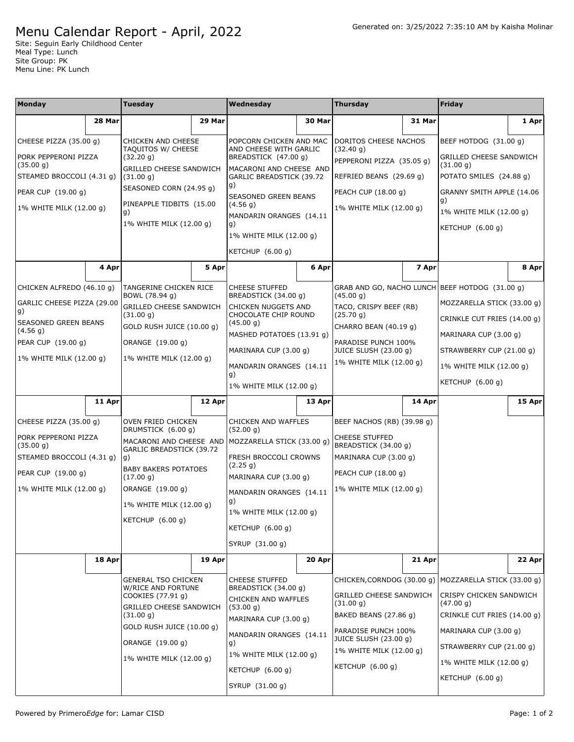## Menu Calendar Report - April, 2022

Site: Seguin Early Childhood Center Meal Type: Lunch Site Group: PK Menu Line: PK Lunch

| Monday                                                                                                                                             |        | <b>Tuesday</b>                                                                                                                                                                                                       |        | Wednesday                                                                                                                                                                                                                       |        | <b>Thursday</b>                                                                                                                                                                                        |        | Friday                                                                                                                                                                                                                               |        |
|----------------------------------------------------------------------------------------------------------------------------------------------------|--------|----------------------------------------------------------------------------------------------------------------------------------------------------------------------------------------------------------------------|--------|---------------------------------------------------------------------------------------------------------------------------------------------------------------------------------------------------------------------------------|--------|--------------------------------------------------------------------------------------------------------------------------------------------------------------------------------------------------------|--------|--------------------------------------------------------------------------------------------------------------------------------------------------------------------------------------------------------------------------------------|--------|
|                                                                                                                                                    | 28 Mar |                                                                                                                                                                                                                      | 29 Mar |                                                                                                                                                                                                                                 | 30 Mar |                                                                                                                                                                                                        | 31 Mar |                                                                                                                                                                                                                                      | 1 Apr  |
| CHEESE PIZZA (35.00 g)<br>PORK PEPPERONI PIZZA<br>(35.00 g)<br>STEAMED BROCCOLI (4.31 g)<br>PEAR CUP (19.00 g)                                     |        | <b>CHICKEN AND CHEESE</b><br>TAQUITOS W/ CHEESE<br>(32.20 g)<br><b>GRILLED CHEESE SANDWICH</b><br>(31.00 g)<br>SEASONED CORN (24.95 g)                                                                               |        | POPCORN CHICKEN AND MAC<br>AND CHEESE WITH GARLIC<br>BREADSTICK (47.00 g)<br>MACARONI AND CHEESE AND<br>GARLIC BREADSTICK (39.72<br>g)                                                                                          |        | <b>DORITOS CHEESE NACHOS</b><br>(32.40 g)<br>PEPPERONI PIZZA (35.05 g)<br>REFRIED BEANS (29.69 g)<br>PEACH CUP (18.00 g)                                                                               |        | BEEF HOTDOG (31.00 g)<br><b>GRILLED CHEESE SANDWICH</b><br>(31.00 g)<br>POTATO SMILES (24.88 g)<br>GRANNY SMITH APPLE (14.06                                                                                                         |        |
| 1% WHITE MILK (12.00 g)                                                                                                                            |        | PINEAPPLE TIDBITS (15.00<br>g)<br>1% WHITE MILK (12.00 g)                                                                                                                                                            |        | SEASONED GREEN BEANS<br>(4.56 g)<br>MANDARIN ORANGES (14.11<br>g)<br>1% WHITE MILK (12.00 g)<br>KETCHUP (6.00 g)                                                                                                                |        | 1% WHITE MILK (12.00 g)                                                                                                                                                                                |        | g)<br>1% WHITE MILK (12.00 g)<br>KETCHUP (6.00 g)                                                                                                                                                                                    |        |
|                                                                                                                                                    | 4 Apr  |                                                                                                                                                                                                                      | 5 Apr  |                                                                                                                                                                                                                                 | 6 Apr  |                                                                                                                                                                                                        | 7 Apr  |                                                                                                                                                                                                                                      | 8 Apr  |
| CHICKEN ALFREDO (46.10 g)<br>GARLIC CHEESE PIZZA (29.00<br>g)<br>SEASONED GREEN BEANS<br>(4.56 g)<br>PEAR CUP (19.00 g)<br>1% WHITE MILK (12.00 g) |        | TANGERINE CHICKEN RICE<br>BOWL (78.94 g)<br><b>GRILLED CHEESE SANDWICH</b><br>(31.00 g)<br>GOLD RUSH JUICE (10.00 q)<br>ORANGE (19.00 g)<br>1% WHITE MILK (12.00 g)                                                  |        | <b>CHEESE STUFFED</b><br>BREADSTICK (34.00 g)<br>CHICKEN NUGGETS AND<br>CHOCOLATE CHIP ROUND<br>(45.00 g)<br>MASHED POTATOES (13.91 g)<br>MARINARA CUP (3.00 g)<br>MANDARIN ORANGES (14.11<br>g)<br>1% WHITE MILK (12.00 g)     |        | GRAB AND GO, NACHO LUNCH BEEF HOTDOG (31.00 g)<br>(45.00 g)<br>TACO, CRISPY BEEF (RB)<br>(25.70 g)<br>CHARRO BEAN (40.19 q)<br>PARADISE PUNCH 100%<br>JUICE SLUSH (23.00 g)<br>1% WHITE MILK (12.00 g) |        | MOZZARELLA STICK (33.00 g)<br>CRINKLE CUT FRIES (14.00 g)<br>MARINARA CUP (3.00 g)<br>STRAWBERRY CUP (21.00 g)<br>1% WHITE MILK (12.00 g)<br>KETCHUP (6.00 g)                                                                        |        |
|                                                                                                                                                    | 11 Apr |                                                                                                                                                                                                                      | 12 Apr |                                                                                                                                                                                                                                 | 13 Apr |                                                                                                                                                                                                        | 14 Apr |                                                                                                                                                                                                                                      | 15 Apr |
| CHEESE PIZZA (35.00 g)<br>PORK PEPPERONI PIZZA<br>(35.00 g)<br>STEAMED BROCCOLI (4.31 g)<br>PEAR CUP (19.00 g)<br>1% WHITE MILK (12.00 g)          |        | OVEN FRIED CHICKEN<br>DRUMSTICK (6.00 g)<br>MACARONI AND CHEESE AND<br>GARLIC BREADSTICK (39.72<br>g)<br><b>BABY BAKERS POTATOES</b><br>(17.00 g)<br>ORANGE (19.00 g)<br>1% WHITE MILK (12.00 g)<br>KETCHUP (6.00 g) |        | CHICKEN AND WAFFLES<br>(52.00 g)<br>MOZZARELLA STICK (33.00 g)<br>FRESH BROCCOLI CROWNS<br>(2.25 g)<br>MARINARA CUP (3.00 g)<br>MANDARIN ORANGES (14.11<br>g)<br>1% WHITE MILK (12.00 q)<br>KETCHUP (6.00 g)<br>SYRUP (31.00 g) |        | BEEF NACHOS (RB) (39.98 g)<br><b>CHEESE STUFFED</b><br>BREADSTICK (34.00 g)<br>MARINARA CUP (3.00 g)<br>PEACH CUP (18.00 g)<br>1% WHITE MILK (12.00 g)                                                 |        |                                                                                                                                                                                                                                      |        |
|                                                                                                                                                    | 18 Apr |                                                                                                                                                                                                                      | 19 Apr |                                                                                                                                                                                                                                 | 20 Apr |                                                                                                                                                                                                        | 21 Apr |                                                                                                                                                                                                                                      | 22 Apr |
|                                                                                                                                                    |        | <b>GENERAL TSO CHICKEN</b><br>W/RICE AND FORTUNE<br>COOKIES (77.91 g)<br><b>GRILLED CHEESE SANDWICH</b><br>(31.00 g)<br>GOLD RUSH JUICE (10.00 g)<br>ORANGE (19.00 g)<br>1% WHITE MILK (12.00 g)                     |        | <b>CHEESE STUFFED</b><br>BREADSTICK (34.00 g)<br>CHICKEN AND WAFFLES<br>(53.00 g)<br>MARINARA CUP (3.00 g)<br>MANDARIN ORANGES (14.11<br>g)<br>1% WHITE MILK (12.00 g)<br>KETCHUP $(6.00 q)$<br>SYRUP (31.00 g)                 |        | GRILLED CHEESE SANDWICH<br>(31.00 g)<br>BAKED BEANS (27.86 g)<br>PARADISE PUNCH 100%<br>JUICE SLUSH (23.00 g)<br>1% WHITE MILK (12.00 g)<br>KETCHUP $(6.00 g)$                                         |        | CHICKEN, CORNDOG (30.00 g)   MOZZARELLA STICK (33.00 g)<br>CRISPY CHICKEN SANDWICH<br>(47.00 g)<br>CRINKLE CUT FRIES (14.00 g)<br>MARINARA CUP (3.00 g)<br>STRAWBERRY CUP (21.00 g)<br>1% WHITE MILK (12.00 g)<br>KETCHUP $(6.00 g)$ |        |